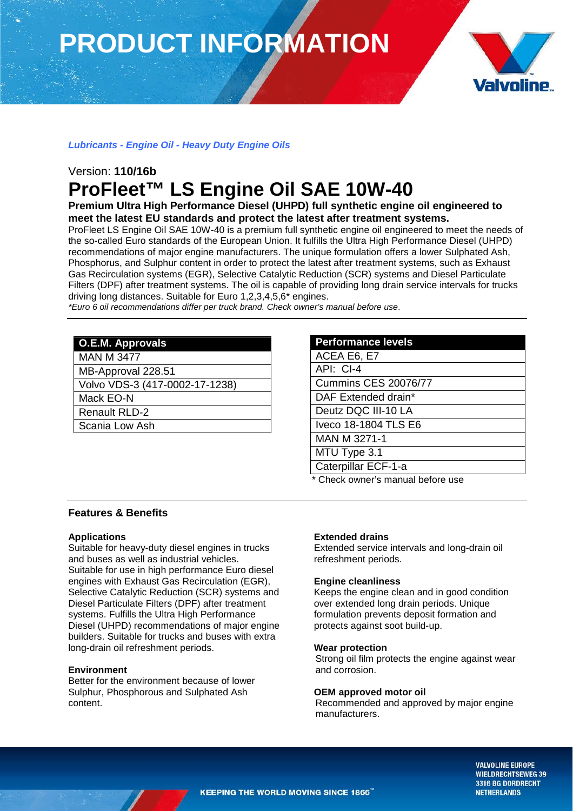# **PRODUCT INFORMATION**



## *Lubricants - Engine Oil - Heavy Duty Engine Oils*

# Version: **110/16b ProFleet™ LS Engine Oil SAE 10W-40**

**Premium Ultra High Performance Diesel (UHPD) full synthetic engine oil engineered to meet the latest EU standards and protect the latest after treatment systems.**

ProFleet LS Engine Oil SAE 10W-40 is a premium full synthetic engine oil engineered to meet the needs of the so-called Euro standards of the European Union. It fulfills the Ultra High Performance Diesel (UHPD) recommendations of major engine manufacturers. The unique formulation offers a lower Sulphated Ash, Phosphorus, and Sulphur content in order to protect the latest after treatment systems, such as Exhaust Gas Recirculation systems (EGR), Selective Catalytic Reduction (SCR) systems and Diesel Particulate Filters (DPF) after treatment systems. The oil is capable of providing long drain service intervals for trucks driving long distances. Suitable for Euro 1,2,3,4,5,6\* engines.

*\*Euro 6 oil recommendations differ per truck brand. Check owner's manual before use*.

| <b>O.E.M. Approvals</b>        |
|--------------------------------|
| <b>MAN M 3477</b>              |
| MB-Approval 228.51             |
| Volvo VDS-3 (417-0002-17-1238) |
| Mack EO-N                      |
| <b>Renault RLD-2</b>           |
| Scania Low Ash                 |
|                                |

| <b>Performance levels</b>         |
|-----------------------------------|
| ACEA E6, E7                       |
| API: CI-4                         |
| <b>Cummins CES 20076/77</b>       |
| DAF Extended drain*               |
| Deutz DQC III-10 LA               |
| Iveco 18-1804 TLS E6              |
| MAN M 3271-1                      |
| MTU Type 3.1                      |
| Caterpillar ECF-1-a               |
| * Chack ownar'e manual hafora usa |

#### CK OWNER'S Manual Defore use

### **Features & Benefits**

#### **Applications**

Suitable for heavy-duty diesel engines in trucks and buses as well as industrial vehicles. Suitable for use in high performance Euro diesel engines with Exhaust Gas Recirculation (EGR), Selective Catalytic Reduction (SCR) systems and Diesel Particulate Filters (DPF) after treatment systems. Fulfills the Ultra High Performance Diesel (UHPD) recommendations of major engine builders. Suitable for trucks and buses with extra long-drain oil refreshment periods.

#### **Environment**

Better for the environment because of lower Sulphur, Phosphorous and Sulphated Ash content.

#### **Extended drains**

Extended service intervals and long-drain oil refreshment periods.

#### **Engine cleanliness**

Keeps the engine clean and in good condition over extended long drain periods. Unique formulation prevents deposit formation and protects against soot build-up.

#### **Wear protection**

Strong oil film protects the engine against wear and corrosion.

#### **OEM approved motor oil**

Recommended and approved by major engine manufacturers.

> **VALVOLINE EUROPE WIELDRECHTSEWEG 39** 3316 BG DORDRECHT **NETHERLANDS**